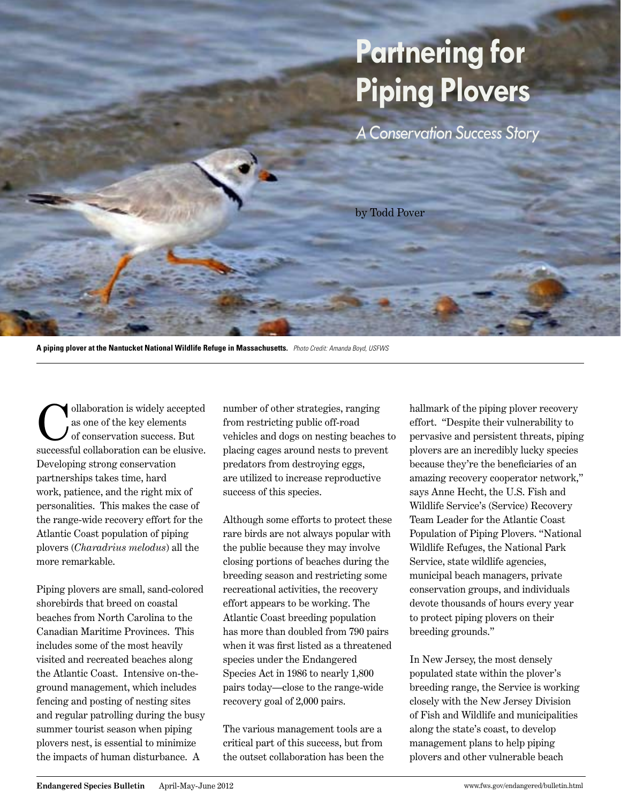## **Partnering for Piping Plovers**

*A Conservation Success Story*

by Todd Pover

**A piping plover at the Nantucket National Wildlife Refuge in Massachusetts.** *Photo Credit: Amanda Boyd, USFWS*

ollaboration is widely accepted as one of the key elements of conservation success. But successful collaboration can be elusive. Developing strong conservation partnerships takes time, hard work, patience, and the right mix of personalities. This makes the case of the range-wide recovery effort for the Atlantic Coast population of piping plovers (*Charadrius melodus*) all the more remarkable.

Piping plovers are small, sand-colored shorebirds that breed on coastal beaches from North Carolina to the Canadian Maritime Provinces. This includes some of the most heavily visited and recreated beaches along the Atlantic Coast. Intensive on-theground management, which includes fencing and posting of nesting sites and regular patrolling during the busy summer tourist season when piping plovers nest, is essential to minimize the impacts of human disturbance. A

number of other strategies, ranging from restricting public off-road vehicles and dogs on nesting beaches to placing cages around nests to prevent predators from destroying eggs, are utilized to increase reproductive success of this species.

Although some efforts to protect these rare birds are not always popular with the public because they may involve closing portions of beaches during the breeding season and restricting some recreational activities, the recovery effort appears to be working. The Atlantic Coast breeding population has more than doubled from 790 pairs when it was first listed as a threatened species under the Endangered Species Act in 1986 to nearly 1,800 pairs today—close to the range-wide recovery goal of 2,000 pairs.

The various management tools are a critical part of this success, but from the outset collaboration has been the hallmark of the piping plover recovery effort. "Despite their vulnerability to pervasive and persistent threats, piping plovers are an incredibly lucky species because they're the beneficiaries of an amazing recovery cooperator network," says Anne Hecht, the U.S. Fish and Wildlife Service's (Service) Recovery Team Leader for the Atlantic Coast Population of Piping Plovers. "National Wildlife Refuges, the National Park Service, state wildlife agencies, municipal beach managers, private conservation groups, and individuals devote thousands of hours every year to protect piping plovers on their breeding grounds."

In New Jersey, the most densely populated state within the plover's breeding range, the Service is working closely with the New Jersey Division of Fish and Wildlife and municipalities along the state's coast, to develop management plans to help piping plovers and other vulnerable beach